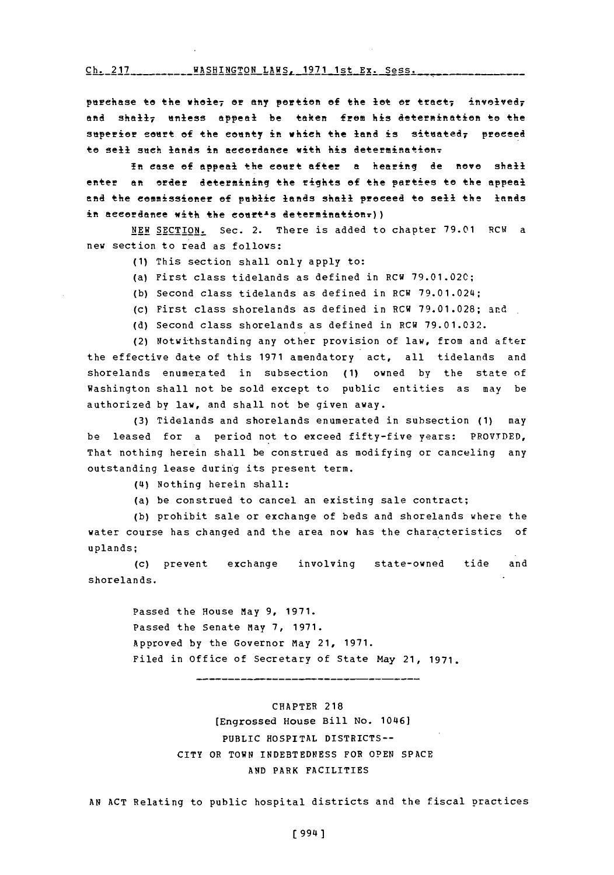Ch. 217WASHINGTON LAWS, **1971** 1st Ex. Sess. **Ch. 217**

purchase to the whole<sub>7</sub> or any portion of the lot or tract; involved<sub>7</sub> and shall7 unless appeal be taken from his determination to the superior court of the county in which the land is situated, proceed to sell such lands in accordance with his determination-

**in** case of appedl the eeiift after a hearinq de **nove** shall enter an order determining the rights of the parties to the appeal end the commissioner ef **pubic** lands shall preceed to sell the lands in aeeordance with the court<sup>1</sup>s determination=))

**NEW** SECTION. Sec. 2. There is added to chiapter **79.01** RCW a new section to read as follows:

- **(1)** This section shall only apply to:
- (a) First class tidelands as defined in RCW **79.01.020;**
- **(b)** Second class tidelands as defined in RCW 79.01.024;
- (c) First class shorelands as defined in RCW **79.01.028;** and
- **(d)** Second class shorelands as defined in RCW **79.01.032.**

(2) Notwithstanding any other provision of law, from and after the effective date of this **1971** amendatory act, all tidelands and shorelands enumerated in subsection **(1)** owned **by** the state of Washington shall not be sold except to public entities as may be authorized **by** law, and shall not be given away.

**(3)** Tidelands and shorelands enumerated in subsection **(1)** may be leased for a period not to exceed fifty-five years: PROVTDED, That nothing herein shall be construed as modifying or canceling any outstanding lease during its present term.

**(14)** Nothing herein shall:

(a) be construed to cancel an existing sale contract;

**(b)** prohibit sale or exchange of beds and shorelands where the water course has changed and the area now has the characteristics of uplands;

(c) prevent exchange involving state-owned tide and shorelands.

> Passed the House May **9, 1971.** Passed the Senate May **7, 1971.** Approved **by** the Governor may 21, **1971.** Filed in Office of Secretary **of** State May 21, **1971.**

CHAPTER **218** (Engrossed House Bill No. 101461 PUBLIC HOSPITAL DISTRICTS-- CITY OR TOWN **INDEBTEDNESS** FOR **OPEN SPACE AND** PARK FACILITIES

**AN ACT** Relating to public hospital districts and the fiscal practices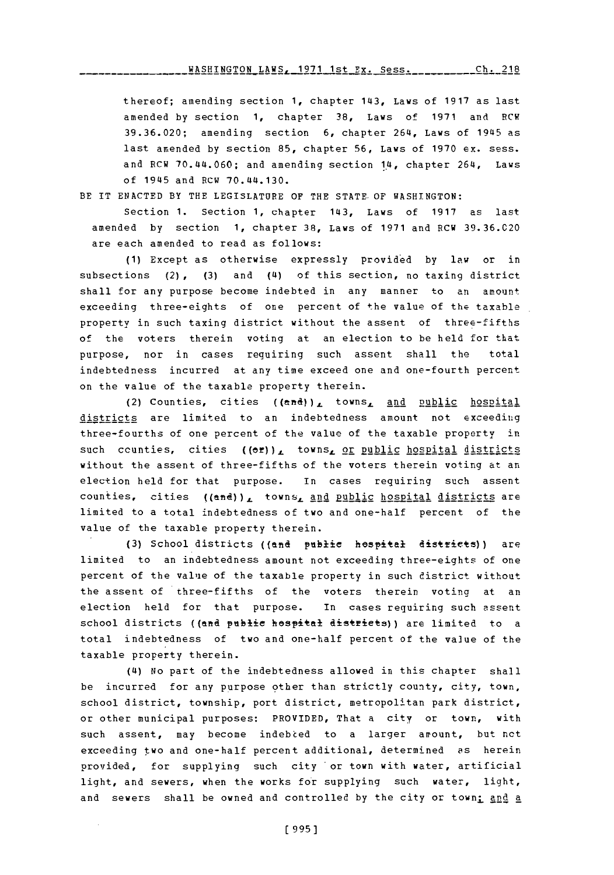thereof; amending section **1,** chapter 143, Laws of **1917** as last amended **by** section **1,** chapter **38,** Laws of **1971** and RCW **39.36.020;** amending section **6,** chapter 264, Laws of 19a5 as last amended **by** section **85,** chapter **56,** Laws of **1970** ex. sess. and RCW 70.44.060; and amending section 14, chapter 264, Laws of 1945 and RCW 70.44.130.

BE IT **ENACTED** BY THE LEGISLATURE OF THE **STATE-OF WASHINGTON:**

Section **1.** Section **1,** chapter 143, Laws of **1917** as last amended **by** section **1,** chapter **38,** Laws of **1971** and RCW **39.36.020** are each amended to read as follows:

**(1)** Except as otherwise expressly provided **by** law or in subsections (2), (3) and (4) of this section, no taxing district shall for any purpose become indebted in any manner to an amount exceeding three-eights of one percent of the value of the taxable property in such taxing district without the assent of three-fifths of the voters therein voting at an election to be held for that purpose, nor in cases requiring such assent shall the total indebtedness incurred at any time exceed one and one-fourth percent on the value of the taxable property therein.

(2) Counties, cities  $((en\ddot{d}))_L$  towns, and public hospital districts are limited to an indebtedness amount not exceediing three-fourths of one percent of the value of the taxable property in such **ccunties,** cities ((efl), **towns,** or public hospital districts without the assent of three-fifths of the voters therein voting at an election held for that purpose. in cases requiring such assent counties, cities ((and)), towns, and public hospital districts are limited to a total indebtedness of two and one-half percent of the value of the taxable property therein.

(3) School districts ((and publie hespital districts)) are limited to an indebtedness amount not exceeding three-eights of one percent of the value of the taxable property in such district without the assent of three-fifths of the voters therein voting at an election held for that purpose. In cases requiring such assent school districts ((and public hospital districts)) are limited to a total indebtedness of two and one-half percent of the value of the taxable property therein.

(4) No part of the indebtedness allowed in this chapter shall be incurred for any purpose other than strictly county, city, town, school district, township, port district, metropolitan park district, or other municipal purposes: PROVIDED, That a city or town, with such assent, may become indebted to a larger amount, but not exceeding two and one-half percent additional, determined as herein provided, for supplying such city 'or town with water, artificial light, and sewers, when the works for supplying such water, light, and sewers shall be owned and controlled by the city or town: and a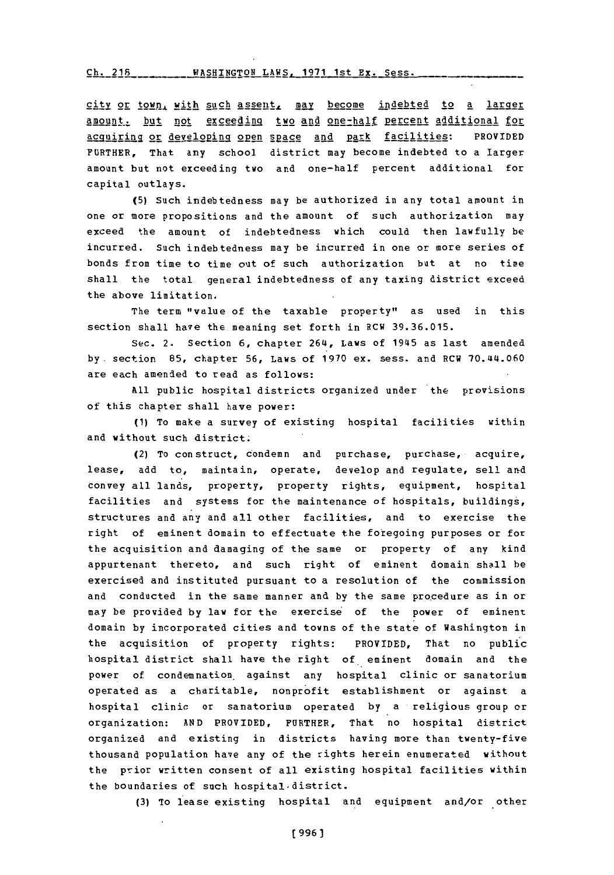**Ch. 218 WASHINGTON LAWS, 1971 1st Ex. Sess.** 

city or town, with such assent, may become indebted to a larger amount, but not exceeding two and one-half percent additional for ~Apirig or aevelokig 2p~n **EpA2** and park facilities: PROVIDED FURTHER, That any school district may become indebted to a larger amount but not exceeding two and one-half percent additional for capital outlays.

**(5)** Such indebtedness may be authorized in any total amount in one or more propositions and the amount of such authorization may exceed the amount of indebtedness which could then lawfully be incurred. Such indebtedness may be incurred in one or more series of bonds from time to time out of such authorization but at no time shall the total general indebtedness of any taxing district exceed the above limitation.

The term "value of the taxable property" as used in this section shall have the meaning set forth in RCW **39.36.015.**

Sec. 2. Section **6,** chapter 264, Laws of 1945 as last amended **by.** section **85,** chapter **56,** Laws of **1970** ex. sess. and RCW 70.L44.060 are each amended to read as follows:

**All** public hospital districts organized under the provisions of this chapter shall have power:

**(1)** To make a survey of existing hospital facilities within and without such district.

(2) To construct, condemn and purchase, purchase, acquire, lease, add to, maintain, operate, develop and regulate, sell and convey all lands, property, property rights, equipment, hospital facilities and systems for the maintenance of hospitals, buildings, structures and any and all other facilities, and to exercise the right of eminent domain to effectuate the foregoing purposes or for the acquisition and damaging of the same or property of any kind appurtenant thereto, and such right of eminent domain shall he exercised and instituted pursuant to a resolution of the commission and conducted **in** the same manner and **by** the same procedure as in or may be provided **by** law for the exercise of the power of eminent domain **by** incorporated cities and towns of the state of Washington in the acquisition of property rights: PROVIDED, That no public hospital district shall have the right of eminent domain and the power of condemnation. against any hospital clinic or sanatorium operated as a charitable, nonprofit establishment or against a hospital clinic or sanatorium operated **by** a religious group or organization: **AND** PROVIDED, FURTHER, That no hospital district organized and existing in districts having more than twenty-five thousand population have any of the rights herein enumerated without the prior written consent of all existing hospital facilities within the boundaries of such hospital~district.

**(3)** To lease existing hospital and equipment and/or other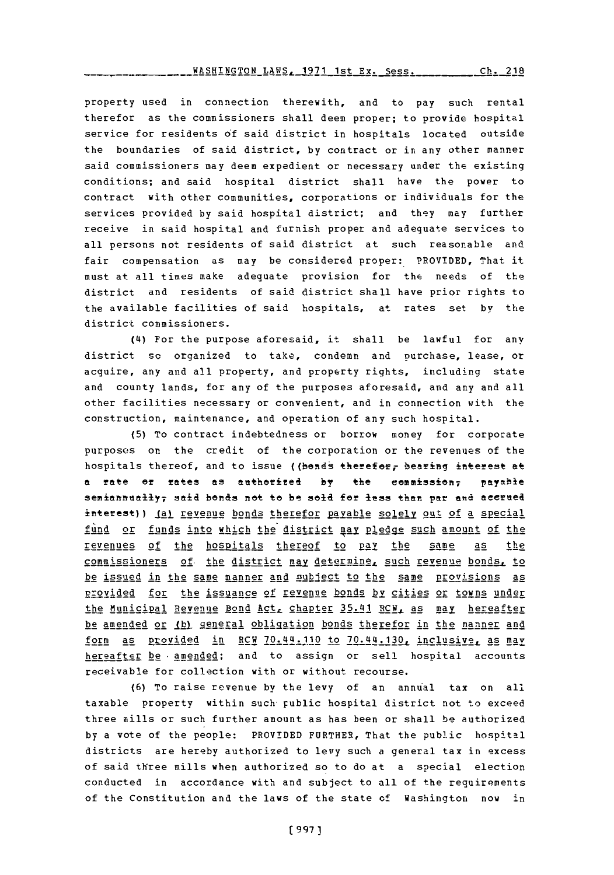property used in connection therewith, and to pay such rental therefor as the commissioners shall deem proper; to provide hospital service for residents **of** said district in hospitals located outside the boundaries of said district, **by** contract or in any other manner said commissioners may deem expedient or necessary under the existing conditions; and said hospital district shall have the power to contract with other communities, corporations or individuals for the services provided **by** said hospital district; and they may further receive in said hospital and furnish proper and adequate services to all persons not residents of said district at such reasonable and fair compensation as may be considered proper: PROVIDED, That it must at all times make adequate provision for the needs of the district and residents of said district shall have prior rights to the available facilities of said hospitals, at rates set **by** the district commissioners.

(4) For the purpose aforesaid, it shall be lawful for any district so organized to take, condemn and purchase, lease, or acquire, any and all property, and property rights, including state and County lands, for any of the purposes aforesaid, and any and all other facilities necessary or convenient, and in connection with the construction, maintenance, and operation of any such hospital.

**(5)** To contract indebtedness or borrow money for corporate purposes on the credit of the corporation or the revenues of the hospitals thereof, and to issue ((bends therefor, bearing interest at a rate or rates as authorized by the commission, payable semiannually<sub>7</sub> said bonds net te be sold for less than par and accrued interest)) ial revenue bonds therefor payable solely out of a special fund or funds into which the district may pledge such amount of the revenues. of the hospitals thereof to **pay** the same as the commissioners of the district may determine, such revenue bonds, to be issued in the same manner and subject to the same provisions as provided for the issuance of revenue bonds **by** cit ies or towns under the Municipal Revenue Bond Act, chapte 2.5,. Al **CI!** as **may** hereafter be amended or *ibl general obligation bonds therefor in the manner and* form as provided in RCW 70.44.110 to 70.44.130. inclusive. as may hereafter be amended; and to assign or sell hospital accounts receivable for collection with or without recourse.

**(6)** To raise revenue by the levy of an annual tax on all taxable property within such-public hospital district not to exceed three mills or such further amount as has been or shall be authorized **by** a vote of the people: PROVIDED FURTHER, That the publ.ic hospital districts are hereby authorized to levy such a general tax in excess of said three mills when authorized so to do at a special election conducted in accordance with and subject to all of the requirements of the Constitution and the laws of the state **of** Washington now in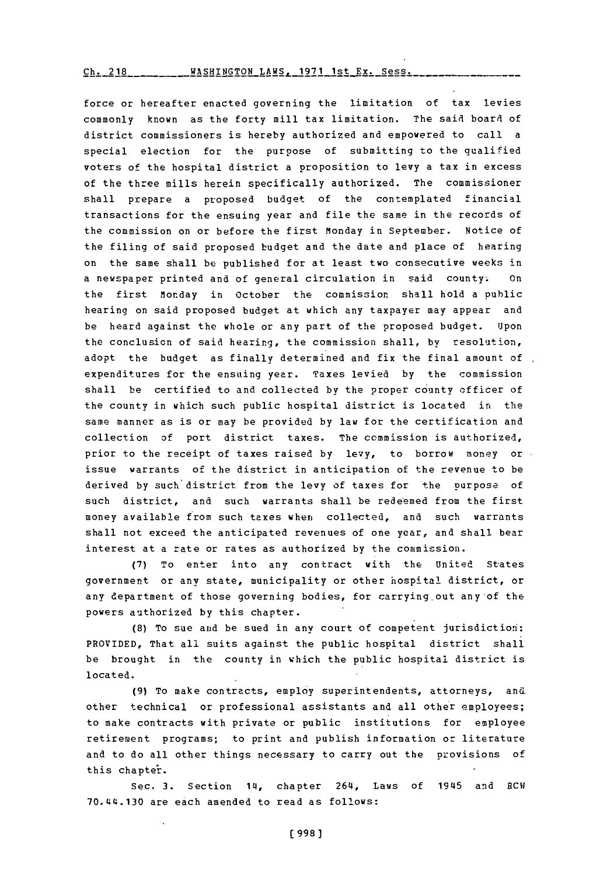*ch. 218* -- WASHINGTON LAWS, 1971 1st Ex. Sess.

*force* or hereafter enacted governing the limitation of tax levies commonly known as the forty mill tax limitation. The said board of district commissioners is hereby authorized and empowered to call a special election for the purpose of submitting to the qualified voters of the hospital district a proposition to levy a tax in excess of the three mills herein specifically authorized. The commissioner shall prepare a proposed budget of the contemplated financial transactions for the ensuing year and file the same in the records of the commission on or before the first Monday in September. Notice of the filing of said proposed budget and the date and place of hearing on the same shall be published for at least two consecutive weeks in a newspaper printed and of general circulation in said county. On the first Monday in October the commission shall hold a public hearing on said proposed budget at which any taxpayer may appear and be heard against the whole or any part of the proposed budget. Upon the conclusion of said hearing, the commission shall, by resolution, adopt the budget as finally determined and fix the final amount of , expenditures for the ensuing year. Taxes levied **by** the commission shall be certified to and collected by the proper county officer of the county in which such public hospital district is located in the same manner as is or may be provided **by** law for the certification and collection of port district taxes. The commission is authorized, prior to the receipt of taxes raised **by** levy, to borrow money or issue warrants of the district in anticipation of the revenue to be derived **by** such'district from the levy of taxes for the purpose of such district, and such warrants shall be redeemed from the first money available from such taxes when collected, and such warrants shall not exceed the anticipated revenues of one year, and shall bear interest at a rate or rates as authorized **by** the commission.

**(7)** To enter into any contract with the United States government or any state, municipality or other hospital district, or any department of those governing bodies, for carrying-out any of the powers authorized **by** this chapter.

**(8)** To sue and be sued in any court of competent jurisdiction: PROVIDED, That all suits against the public hospital district shall be brought in the county in which the public hospital district is located.

**(9)** To make contracts, employ superintendents, attorneys, an& other technical or professional assistants and all other employees; to make contracts with private or public institutions for employee retirement programs; to print and publish information or literature and to do all other things necessary to carry out the provisions of this chapter.

Sec. 3. Section 14, chapter 264, Laws of 1945 and RCW 70.44.130 are each amended to read as follows: